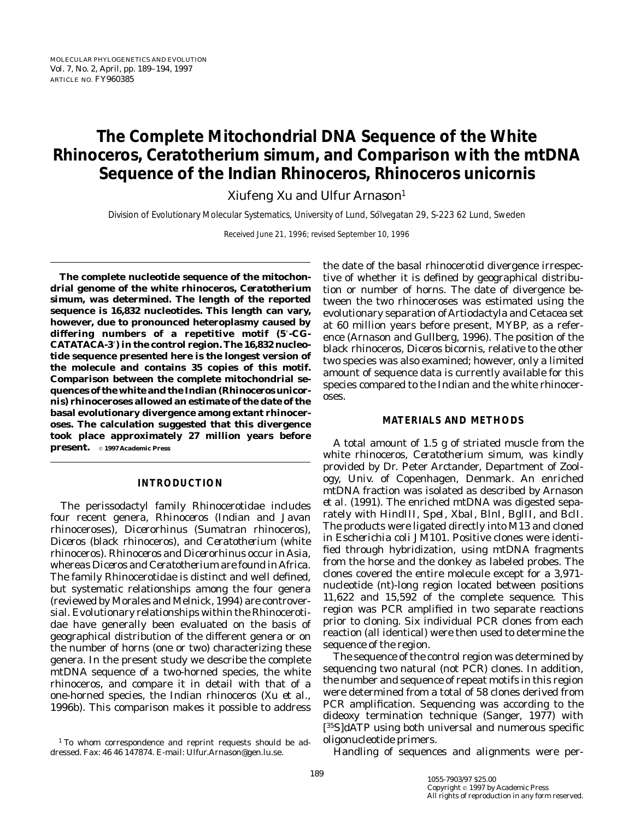# **The Complete Mitochondrial DNA Sequence of the White Rhinoceros,** *Ceratotherium simum,* **and Comparison with the mtDNA Sequence of the Indian Rhinoceros,** *Rhinoceros unicornis*

Xiufeng Xu and Ulfur Arnason<sup>1</sup>

Division of Evolutionary Molecular Systematics, University of Lund, Sölvegatan 29, S-223 62 Lund, Sweden

Received June 21, 1996; revised September 10, 1996

**The complete nucleotide sequence of the mitochondrial genome of the white rhinoceros,** *Ceratotherium simum,* **was determined. The length of the reported sequence is 16,832 nucleotides. This length can vary, however, due to pronounced heteroplasmy caused by** differing numbers of a repetitive motif (5'-CG-**CATATACA-3**8**) in the control region. The 16,832 nucleotide sequence presented here is the longest version of the molecule and contains 35 copies of this motif. Comparison between the complete mitochondrial sequences of the white and the Indian (***Rhinoceros unicornis***) rhinoceroses allowed an estimate of the date of the basal evolutionary divergence among extant rhinoceroses. The calculation suggested that this divergence took place approximately 27 million years before present.** © 1997 Academic Press

# **INTRODUCTION**

The perissodactyl family Rhinocerotidae includes four recent genera, *Rhinoceros* (Indian and Javan rhinoceroses), *Dicerorhinus* (Sumatran rhinoceros), *Diceros* (black rhinoceros), and *Ceratotherium* (white rhinoceros). *Rhinoceros* and *Dicerorhinus* occur in Asia, whereas *Diceros* and *Ceratotherium* are found in Africa. The family Rhinocerotidae is distinct and well defined, but systematic relationships among the four genera (reviewed by Morales and Melnick, 1994) are controversial. Evolutionary relationships within the Rhinocerotidae have generally been evaluated on the basis of geographical distribution of the different genera or on the number of horns (one or two) characterizing these genera. In the present study we describe the complete mtDNA sequence of a two-horned species, the white rhinoceros, and compare it in detail with that of a one-horned species, the Indian rhinoceros (Xu *et al.,* 1996b). This comparison makes it possible to address

<sup>1</sup> To whom correspondence and reprint requests should be addressed. Fax: 46 46 147874. E-mail: Ulfur.Arnason@gen.lu.se.

the date of the basal rhinocerotid divergence irrespective of whether it is defined by geographical distribution or number of horns. The date of divergence between the two rhinoceroses was estimated using the evolutionary separation of Artiodactyla and Cetacea set at 60 million years before present, MYBP, as a reference (Arnason and Gullberg, 1996). The position of the black rhinoceros, *Diceros bicornis,* relative to the other two species was also examined; however, only a limited amount of sequence data is currently available for this species compared to the Indian and the white rhinoceroses.

## **MATERIALS AND METHODS**

A total amount of 1.5 g of striated muscle from the white rhinoceros, *Ceratotherium simum,* was kindly provided by Dr. Peter Arctander, Department of Zoology, Univ. of Copenhagen, Denmark. An enriched mtDNA fraction was isolated as described by Arnason *et al.* (1991). The enriched mtDNA was digested separately with *Hin*dIII, *Spe*I, *Xba*I, *Bln*I, *Bgl*II, and *Bcl*I. The products were ligated directly into M13 and cloned in *Escherichia coli* JM101. Positive clones were identified through hybridization, using mtDNA fragments from the horse and the donkey as labeled probes. The clones covered the entire molecule except for a 3,971 nucleotide (nt)-long region located between positions 11,622 and 15,592 of the complete sequence. This region was PCR amplified in two separate reactions prior to cloning. Six individual PCR clones from each reaction (all identical) were then used to determine the sequence of the region.

The sequence of the control region was determined by sequencing two natural (not PCR) clones. In addition, the number and sequence of repeat motifs in this region were determined from a total of 58 clones derived from PCR amplification. Sequencing was according to the dideoxy termination technique (Sanger, 1977) with [35S]dATP using both universal and numerous specific oligonucleotide primers.

Handling of sequences and alignments were per-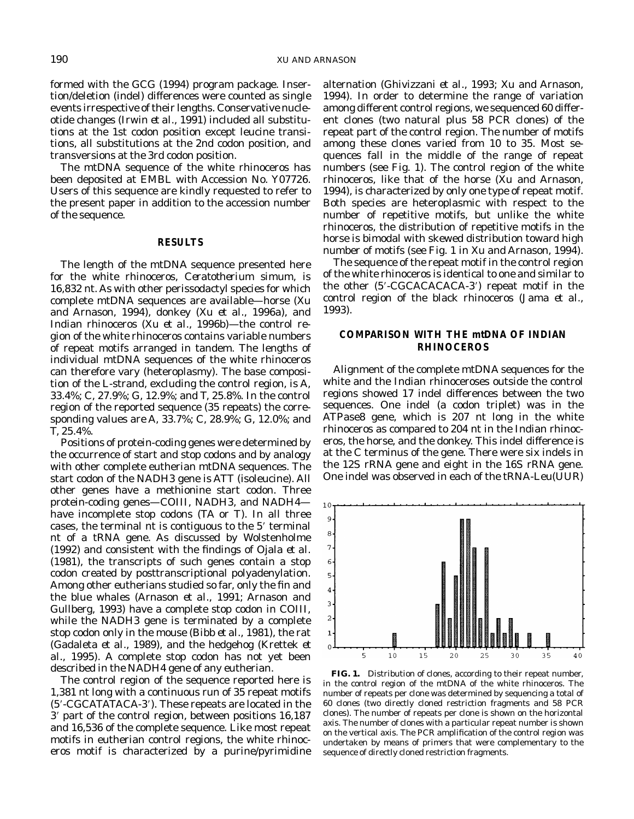formed with the GCG (1994) program package. Insertion/deletion (indel) differences were counted as single events irrespective of their lengths. Conservative nucleotide changes (Irwin *et al.,* 1991) included all substitutions at the 1st codon position except leucine transitions, all substitutions at the 2nd codon position, and transversions at the 3rd codon position.

The mtDNA sequence of the white rhinoceros has been deposited at EMBL with Accession No. Y07726. Users of this sequence are kindly requested to refer to the present paper in addition to the accession number of the sequence.

# **RESULTS**

The length of the mtDNA sequence presented here for the white rhinoceros, *Ceratotherium simum,* is 16,832 nt. As with other perissodactyl species for which complete mtDNA sequences are available—horse (Xu and Arnason, 1994), donkey (Xu *et al.,* 1996a), and Indian rhinoceros (Xu *et al.,* 1996b)—the control region of the white rhinoceros contains variable numbers of repeat motifs arranged in tandem. The lengths of individual mtDNA sequences of the white rhinoceros can therefore vary (heteroplasmy). The base composition of the L-strand, excluding the control region, is A, 33.4%; C, 27.9%; G, 12.9%; and T, 25.8%. In the control region of the reported sequence (35 repeats) the corresponding values are A, 33.7%; C, 28.9%; G, 12.0%; and T, 25.4%.

Positions of protein-coding genes were determined by the occurrence of start and stop codons and by analogy with other complete eutherian mtDNA sequences. The start codon of the NADH3 gene is ATT (isoleucine). All other genes have a methionine start codon. Three protein-coding genes—COIII, NADH3, and NADH4 have incomplete stop codons (TA or T). In all three cases, the terminal nt is contiguous to the  $5'$  terminal nt of a tRNA gene. As discussed by Wolstenholme (1992) and consistent with the findings of Ojala *et al.* (1981), the transcripts of such genes contain a stop codon created by posttranscriptional polyadenylation. Among other eutherians studied so far, only the fin and the blue whales (Arnason *et al.,* 1991; Arnason and Gullberg, 1993) have a complete stop codon in COIII, while the NADH3 gene is terminated by a complete stop codon only in the mouse (Bibb *et al.,* 1981), the rat (Gadaleta *et al.,* 1989), and the hedgehog (Krettek *et al.,* 1995). A complete stop codon has not yet been described in the NADH4 gene of any eutherian.

The control region of the sequence reported here is 1,381 nt long with a continuous run of 35 repeat motifs (5'-CGCATATACA-3'). These repeats are located in the 3' part of the control region, between positions 16,187 and 16,536 of the complete sequence. Like most repeat motifs in eutherian control regions, the white rhinoceros motif is characterized by a purine/pyrimidine

alternation (Ghivizzani *et al.,* 1993; Xu and Arnason, 1994). In order to determine the range of variation among different control regions, we sequenced 60 different clones (two natural plus 58 PCR clones) of the repeat part of the control region. The number of motifs among these clones varied from 10 to 35. Most sequences fall in the middle of the range of repeat numbers (see Fig. 1). The control region of the white rhinoceros, like that of the horse (Xu and Arnason, 1994), is characterized by only one type of repeat motif. Both species are heteroplasmic with respect to the number of repetitive motifs, but unlike the white rhinoceros, the distribution of repetitive motifs in the horse is bimodal with skewed distribution toward high number of motifs (see Fig. 1 in Xu and Arnason, 1994).

The sequence of the repeat motif in the control region of the white rhinoceros is identical to one and similar to the other  $(5'-CGCACACA-A-3')$  repeat motif in the control region of the black rhinoceros (Jama *et al.,* 1993).

# **COMPARISON WITH THE mtDNA OF INDIAN RHINOCEROS**

Alignment of the complete mtDNA sequences for the white and the Indian rhinoceroses outside the control regions showed 17 indel differences between the two sequences. One indel (a codon triplet) was in the ATPase8 gene, which is 207 nt long in the white rhinoceros as compared to 204 nt in the Indian rhinoceros, the horse, and the donkey. This indel difference is at the C terminus of the gene. There were six indels in the 12S rRNA gene and eight in the 16S rRNA gene. One indel was observed in each of the tRNA-Leu(UUR)



**FIG. 1.** Distribution of clones, according to their repeat number, in the control region of the mtDNA of the white rhinoceros. The number of repeats per clone was determined by sequencing a total of 60 clones (two directly cloned restriction fragments and 58 PCR clones). The number of repeats per clone is shown on the horizontal axis. The number of clones with a particular repeat number is shown on the vertical axis. The PCR amplification of the control region was undertaken by means of primers that were complementary to the sequence of directly cloned restriction fragments.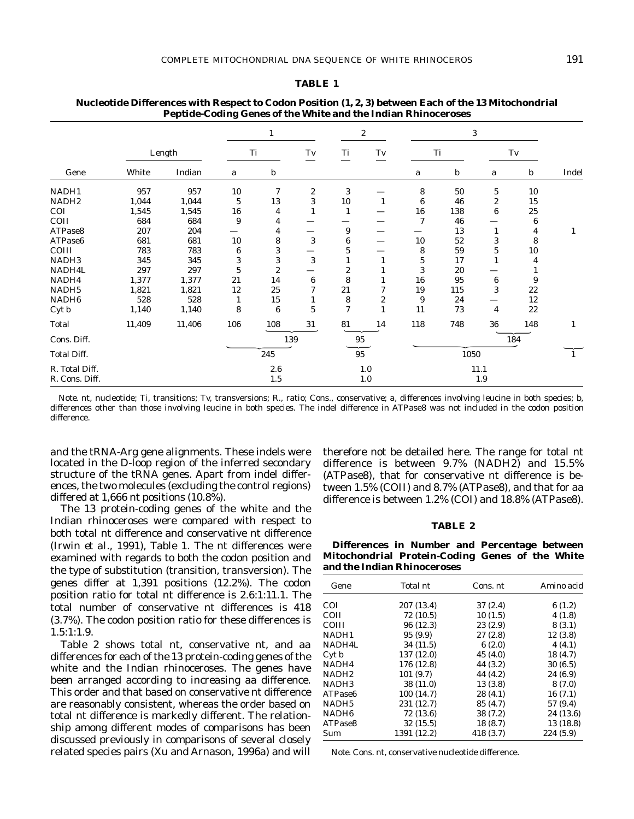#### **TABLE 1**

|                    |        | л.     |     | o<br>1           |                        | $\boldsymbol{2}$ |                        | 3              |      |                        |     |       |
|--------------------|--------|--------|-----|------------------|------------------------|------------------|------------------------|----------------|------|------------------------|-----|-------|
|                    | Length |        | Ti  |                  | $\mathbf{T}\mathbf{v}$ | Ti               | $\mathbf{T}\mathbf{v}$ | Ti             |      | $\mathbf{T}\mathbf{v}$ |     |       |
| Gene               | White  | Indian | a   | b                |                        |                  |                        | a              | b    | a                      | b   | Indel |
| NADH1              | 957    | 957    | 10  | 7                | $\boldsymbol{2}$       | 3                |                        | 8              | 50   | $\bf 5$                | 10  |       |
| NADH <sub>2</sub>  | 1,044  | 1,044  | 5   | 13               | 3                      | 10               | 1                      | 6              | 46   | $\boldsymbol{2}$       | 15  |       |
| COI                | 1,545  | 1,545  | 16  | 4                | $\mathbf{1}$           |                  |                        | 16             | 138  | $\boldsymbol{6}$       | 25  |       |
| COII               | 684    | 684    | 9   | 4                |                        |                  |                        | $\overline{7}$ | 46   |                        | 6   |       |
| ATPase8            | 207    | 204    |     | 4                |                        | 9                |                        |                | 13   | 1                      | 4   | 1     |
| ATPase6            | 681    | 681    | 10  | 8                | 3                      | 6                |                        | 10             | 52   | 3                      | 8   |       |
| COIII              | 783    | 783    | 6   | 3                |                        | 5                |                        | 8              | 59   | $\bf 5$                | 10  |       |
| NADH3              | 345    | 345    | 3   | 3                | 3                      |                  |                        | 5              | 17   |                        | 4   |       |
| NADH4L             | 297    | 297    | 5   | $\boldsymbol{2}$ |                        | $\boldsymbol{2}$ |                        | 3              | 20   |                        |     |       |
| NADH4              | 1,377  | 1,377  | 21  | 14               | 6                      | 8                | 1                      | 16             | 95   | 6                      | 9   |       |
| NADH5              | 1,821  | 1,821  | 12  | 25               | 7                      | 21               | 7                      | 19             | 115  | 3                      | 22  |       |
| NADH6              | 528    | 528    | 1   | 15               |                        | 8                | 2                      | 9              | 24   |                        | 12  |       |
| Cyt b              | 1,140  | 1,140  | 8   | 6                | $\sqrt{5}$             | $\overline{7}$   | 1                      | 11             | 73   | 4                      | 22  |       |
| Total              | 11,409 | 11,406 | 106 | 108              | 31                     | 81               | 14                     | 118            | 748  | 36                     | 148 | 1     |
| Cons. Diff.        |        |        | 139 |                  | 95                     |                  | 184                    |                |      |                        |     |       |
| <b>Total Diff.</b> |        |        |     | 245              |                        | 95               |                        |                | 1050 |                        |     |       |
| R. Total Diff.     |        |        |     | 2.6              |                        | 11.1<br>1.0      |                        |                |      |                        |     |       |
| R. Cons. Diff.     |        |        |     | 1.5              |                        |                  | 1.0                    | 1.9            |      |                        |     |       |

## **Nucleotide Differences with Respect to Codon Position (1, 2, 3) between Each of the 13 Mitochondrial Peptide-Coding Genes of the White and the Indian Rhinoceroses**

*Note.* nt, nucleotide; Ti, transitions; Tv, transversions; R., ratio; Cons., conservative; a, differences involving leucine in both species; b, differences other than those involving leucine in both species. The indel difference in ATPase8 was not included in the codon position difference.

and the tRNA-Arg gene alignments. These indels were located in the D-loop region of the inferred secondary structure of the tRNA genes. Apart from indel differences, the two molecules (excluding the control regions) differed at 1,666 nt positions (10.8%).

The 13 protein-coding genes of the white and the Indian rhinoceroses were compared with respect to both total nt difference and conservative nt difference (Irwin *et al.,* 1991), Table 1. The nt differences were examined with regards to both the codon position and the type of substitution (transition, transversion). The genes differ at 1,391 positions (12.2%). The codon position ratio for total nt difference is 2.6:1:11.1. The total number of conservative nt differences is 418 (3.7%). The codon position ratio for these differences is 1.5:1:1.9.

Table 2 shows total nt, conservative nt, and aa differences for each of the 13 protein-coding genes of the white and the Indian rhinoceroses. The genes have been arranged according to increasing aa difference. This order and that based on conservative nt difference are reasonably consistent, whereas the order based on total nt difference is markedly different. The relationship among different modes of comparisons has been discussed previously in comparisons of several closely related species pairs (Xu and Arnason, 1996a) and will therefore not be detailed here. The range for total nt difference is between 9.7% (NADH2) and 15.5% (ATPase8), that for conservative nt difference is between 1.5% (COII) and 8.7% (ATPase8), and that for aa difference is between 1.2% (COI) and 18.8% (ATPase8).

#### **TABLE 2**

**Differences in Number and Percentage between Mitochondrial Protein-Coding Genes of the White and the Indian Rhinoceroses**

| Gene              | Total nt    | Cons. nt  | Amino acid |  |
|-------------------|-------------|-----------|------------|--|
| COI               | 207 (13.4)  | 37(2.4)   | 6(1.2)     |  |
| COII              | 72(10.5)    | 10(1.5)   | 4(1.8)     |  |
| COIII             | 96 (12.3)   | 23(2.9)   | 8(3.1)     |  |
| NADH1             | 95(9.9)     | 27(2.8)   | 12(3.8)    |  |
| <b>NADH4L</b>     | 34 (11.5)   | 6(2.0)    | 4(4.1)     |  |
| Cyt b             | 137 (12.0)  | 45 (4.0)  | 18 (4.7)   |  |
| NADH4             | 176 (12.8)  | 44 (3.2)  | 30(6.5)    |  |
| NADH <sub>2</sub> | 101(9.7)    | 44 (4.2)  | 24 (6.9)   |  |
| NADH3             | 38 (11.0)   | 13(3.8)   | 8(7.0)     |  |
| ATPase6           | 100 (14.7)  | 28 (4.1)  | 16(7.1)    |  |
| NADH <sub>5</sub> | 231 (12.7)  | 85 (4.7)  | 57 (9.4)   |  |
| NADH <sub>6</sub> | 72 (13.6)   | 38(7.2)   | 24 (13.6)  |  |
| ATPase8           | 32 (15.5)   | 18 (8.7)  | 13 (18.8)  |  |
| Sum               | 1391 (12.2) | 418 (3.7) | 224 (5.9)  |  |

*Note.* Cons. nt, conservative nucleotide difference.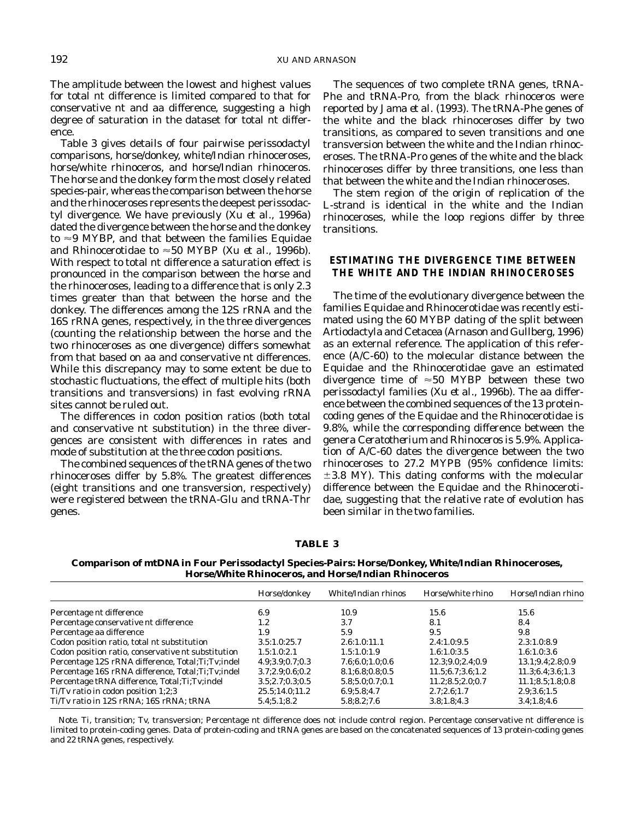The amplitude between the lowest and highest values for total nt difference is limited compared to that for conservative nt and aa difference, suggesting a high degree of saturation in the dataset for total nt difference.

Table 3 gives details of four pairwise perissodactyl comparisons, horse/donkey, white/Indian rhinoceroses, horse/white rhinoceros, and horse/Indian rhinoceros. The horse and the donkey form the most closely related species-pair, whereas the comparison between the horse and the rhinoceroses represents the deepest perissodactyl divergence. We have previously (Xu *et al.,* 1996a) dated the divergence between the horse and the donkey to  $\approx$ 9 MYBP, and that between the families Equidae and Rhinocerotidae to <50 MYBP (Xu *et al.,* 1996b). With respect to total nt difference a saturation effect is pronounced in the comparison between the horse and the rhinoceroses, leading to a difference that is only 2.3 times greater than that between the horse and the donkey. The differences among the 12S rRNA and the 16S rRNA genes, respectively, in the three divergences (counting the relationship between the horse and the two rhinoceroses as one divergence) differs somewhat from that based on aa and conservative nt differences. While this discrepancy may to some extent be due to stochastic fluctuations, the effect of multiple hits (both transitions and transversions) in fast evolving rRNA sites cannot be ruled out.

The differences in codon position ratios (both total and conservative nt substitution) in the three divergences are consistent with differences in rates and mode of substitution at the three codon positions.

The combined sequences of the tRNA genes of the two rhinoceroses differ by 5.8%. The greatest differences (eight transitions and one transversion, respectively) were registered between the tRNA-Glu and tRNA-Thr genes.

The sequences of two complete tRNA genes, tRNA-Phe and tRNA-Pro, from the black rhinoceros were reported by Jama *et al.* (1993). The tRNA-Phe genes of the white and the black rhinoceroses differ by two transitions, as compared to seven transitions and one transversion between the white and the Indian rhinoceroses. The tRNA-Pro genes of the white and the black rhinoceroses differ by three transitions, one less than that between the white and the Indian rhinoceroses.

The stem region of the origin of replication of the L-strand is identical in the white and the Indian rhinoceroses, while the loop regions differ by three transitions.

# **ESTIMATING THE DIVERGENCE TIME BETWEEN THE WHITE AND THE INDIAN RHINOCEROSES**

The time of the evolutionary divergence between the families Equidae and Rhinocerotidae was recently estimated using the 60 MYBP dating of the split between Artiodactyla and Cetacea (Arnason and Gullberg, 1996) as an external reference. The application of this reference (A/C-60) to the molecular distance between the Equidae and the Rhinocerotidae gave an estimated divergence time of  $\approx 50$  MYBP between these two perissodactyl families (Xu *et al.,* 1996b). The aa difference between the combined sequences of the 13 proteincoding genes of the Equidae and the Rhinocerotidae is 9.8%, while the corresponding difference between the genera *Ceratotherium* and *Rhinoceros* is 5.9%. Application of A/C-60 dates the divergence between the two rhinoceroses to 27.2 MYPB (95% confidence limits:  $\pm$ 3.8 MY). This dating conforms with the molecular difference between the Equidae and the Rhinocerotidae, suggesting that the relative rate of evolution has been similar in the two families.

#### **TABLE 3**

**Comparison of mtDNA in Four Perissodactyl Species-Pairs: Horse/Donkey, White/Indian Rhinoceroses, Horse/White Rhinoceros, and Horse/Indian Rhinoceros**

|                                                      | Horse/donkey    | White/Indian rhinos | Horse/white rhino   | Horse/Indian rhino  |
|------------------------------------------------------|-----------------|---------------------|---------------------|---------------------|
| Percentage nt difference                             | 6.9             | 10.9                | 15.6                | 15.6                |
| Percentage conservative nt difference                | $1.2\,$         | 3.7                 | 8.1                 | 8.4                 |
| Percentage aa difference                             | 1.9             | 5.9                 | 9.5                 | 9.8                 |
| Codon position ratio, total nt substitution          | 3.5:1.0:25.7    | 2.6:1.0:11.1        | 2.4:1.0:9.5         | 2.3:1.0:8.9         |
| Codon position ratio, conservative nt substitution   | 1.5:1.0:2.1     | 1.5:1.0:1.9         | 1.6:1.0:3.5         | 1.6:1.0:3.6         |
| Percentage 12S rRNA difference, Total; Ti; Tv; indel | 4.9;3.9;0.7;0.3 | 7.6;6.0;1.0;0.6     | 12.3:9.0:2.4:0.9    | 13.1;9.4;2.8;0.9    |
| Percentage 16S rRNA difference, Total; Ti; Tv; indel | 3.7;2.9;0.6;0.2 | 8.1;6.8;0.8;0.5     | 11.5; 6.7; 3.6; 1.2 | 11.3; 6.4; 3.6; 1.3 |
| Percentage tRNA difference, Total; Ti; Tv; indel     | 3.5;2.7;0.3;0.5 | 5.8;5.0;0.7;0.1     | 11.2;8.5;2.0;0.7    | 11.1; 8.5; 1.8; 0.8 |
| Ti/Tv ratio in codon position 1;2;3                  | 25.5;14.0;11.2  | 6.9:5.8:4.7         | 2.7:2.6:1.7         | 2.9;3.6;1.5         |
| Ti/Tv ratio in 12S rRNA; 16S rRNA; tRNA              | 5.4:5.1:8.2     | 5.8;8.2;7.6         | 3.8;1.8;4.3         | 3.4;1.8;4.6         |

*Note.* Ti, transition; Tv, transversion; Percentage nt difference does not include control region. Percentage conservative nt difference is limited to protein-coding genes. Data of protein-coding and tRNA genes are based on the concatenated sequences of 13 protein-coding genes and 22 tRNA genes, respectively.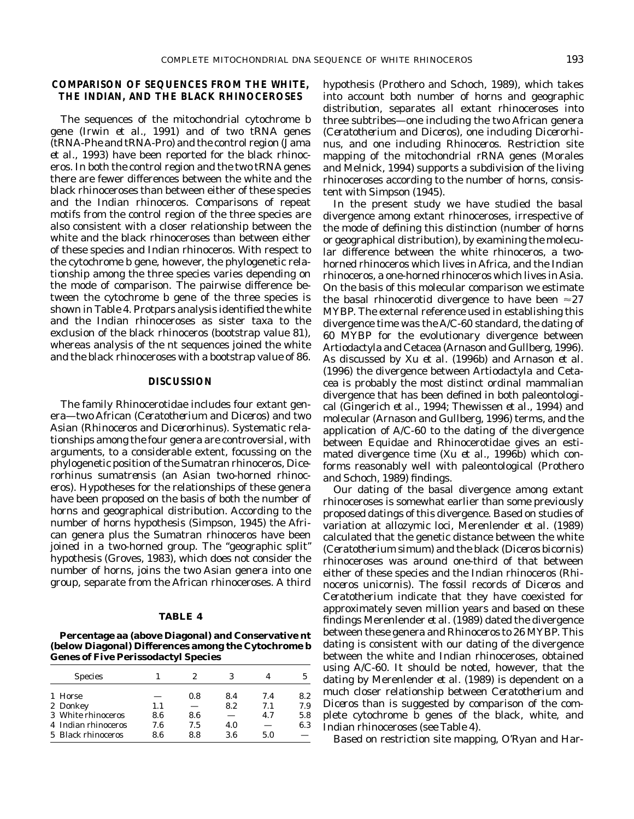# **COMPARISON OF SEQUENCES FROM THE WHITE, THE INDIAN, AND THE BLACK RHINOCEROSES**

The sequences of the mitochondrial cytochrome *b* gene (Irwin *et al.,* 1991) and of two tRNA genes (tRNA-Phe and tRNA-Pro) and the control region (Jama *et al.,* 1993) have been reported for the black rhinoceros. In both the control region and the two tRNA genes there are fewer differences between the white and the black rhinoceroses than between either of these species and the Indian rhinoceros. Comparisons of repeat motifs from the control region of the three species are also consistent with a closer relationship between the white and the black rhinoceroses than between either of these species and Indian rhinoceros. With respect to the cytochrome *b* gene, however, the phylogenetic relationship among the three species varies depending on the mode of comparison. The pairwise difference between the cytochrome *b* gene of the three species is shown in Table 4. Protpars analysis identified the white and the Indian rhinoceroses as sister taxa to the exclusion of the black rhinoceros (bootstrap value 81), whereas analysis of the nt sequences joined the white and the black rhinoceroses with a bootstrap value of 86.

## **DISCUSSION**

The family Rhinocerotidae includes four extant genera—two African (*Ceratotherium* and *Diceros*) and two Asian (*Rhinoceros* and *Dicerorhinus*). Systematic relationships among the four genera are controversial, with arguments, to a considerable extent, focussing on the phylogenetic position of the Sumatran rhinoceros, *Dicerorhinus sumatrensis* (an Asian two-horned rhinoceros). Hypotheses for the relationships of these genera have been proposed on the basis of both the number of horns and geographical distribution. According to the number of horns hypothesis (Simpson, 1945) the African genera plus the Sumatran rhinoceros have been joined in a two-horned group. The ''geographic split'' hypothesis (Groves, 1983), which does not consider the number of horns, joins the two Asian genera into one group, separate from the African rhinoceroses. A third

## **TABLE 4**

**Percentage aa (above Diagonal) and Conservative nt (below Diagonal) Differences among the Cytochrome** *b* **Genes of Five Perissodactyl Species**

| <b>Species</b>      |     |     |     |                          | 5   |
|---------------------|-----|-----|-----|--------------------------|-----|
| 1 Horse             |     | 0.8 | 8.4 | 7.4                      | 8.2 |
| 2 Donkey            | 1.1 |     | 8.2 | 7.1                      | 7.9 |
| 3 White rhinoceros  | 8.6 | 8.6 |     | 4.7                      | 5.8 |
| 4 Indian rhinoceros | 7.6 | 7.5 | 4.0 | $\overline{\phantom{0}}$ | 6.3 |
| 5 Black rhinoceros  | 8.6 | 8.8 | 3.6 | 5.0                      |     |

hypothesis (Prothero and Schoch, 1989), which takes into account both number of horns and geographic distribution, separates all extant rhinoceroses into three subtribes—one including the two African genera (*Ceratotherium* and *Diceros*), one including *Dicerorhinus,* and one including *Rhinoceros.* Restriction site mapping of the mitochondrial rRNA genes (Morales and Melnick, 1994) supports a subdivision of the living rhinoceroses according to the number of horns, consistent with Simpson (1945).

In the present study we have studied the basal divergence among extant rhinoceroses, irrespective of the mode of defining this distinction (number of horns or geographical distribution), by examining the molecular difference between the white rhinoceros, a twohorned rhinoceros which lives in Africa, and the Indian rhinoceros, a one-horned rhinoceros which lives in Asia. On the basis of this molecular comparison we estimate the basal rhinocerotid divergence to have been  $\approx 27$ MYBP. The external reference used in establishing this divergence time was the A/C-60 standard, the dating of 60 MYBP for the evolutionary divergence between Artiodactyla and Cetacea (Arnason and Gullberg, 1996). As discussed by Xu *et al.* (1996b) and Arnason *et al.* (1996) the divergence between Artiodactyla and Cetacea is probably the most distinct ordinal mammalian divergence that has been defined in both paleontological (Gingerich *et al.,* 1994; Thewissen *et al.,* 1994) and molecular (Arnason and Gullberg, 1996) terms, and the application of A/C-60 to the dating of the divergence between Equidae and Rhinocerotidae gives an estimated divergence time (Xu *et al.,* 1996b) which conforms reasonably well with paleontological (Prothero and Schoch, 1989) findings.

Our dating of the basal divergence among extant rhinoceroses is somewhat earlier than some previously proposed datings of this divergence. Based on studies of variation at allozymic loci, Merenlender *et al.* (1989) calculated that the genetic distance between the white (*Ceratotherium simum*) and the black (*Diceros bicornis*) rhinoceroses was around one-third of that between either of these species and the Indian rhinoceros (*Rhinoceros unicornis*). The fossil records of *Diceros* and *Ceratotherium* indicate that they have coexisted for approximately seven million years and based on these findings Merenlender *et al.* (1989) dated the divergence between these genera and *Rhinoceros* to 26 MYBP. This dating is consistent with our dating of the divergence between the white and Indian rhinoceroses, obtained using A/C-60. It should be noted, however, that the dating by Merenlender *et al.* (1989) is dependent on a much closer relationship between *Ceratotherium* and *Diceros* than is suggested by comparison of the complete cytochrome *b* genes of the black, white, and Indian rhinoceroses (see Table 4).

Based on restriction site mapping, O'Ryan and Har-